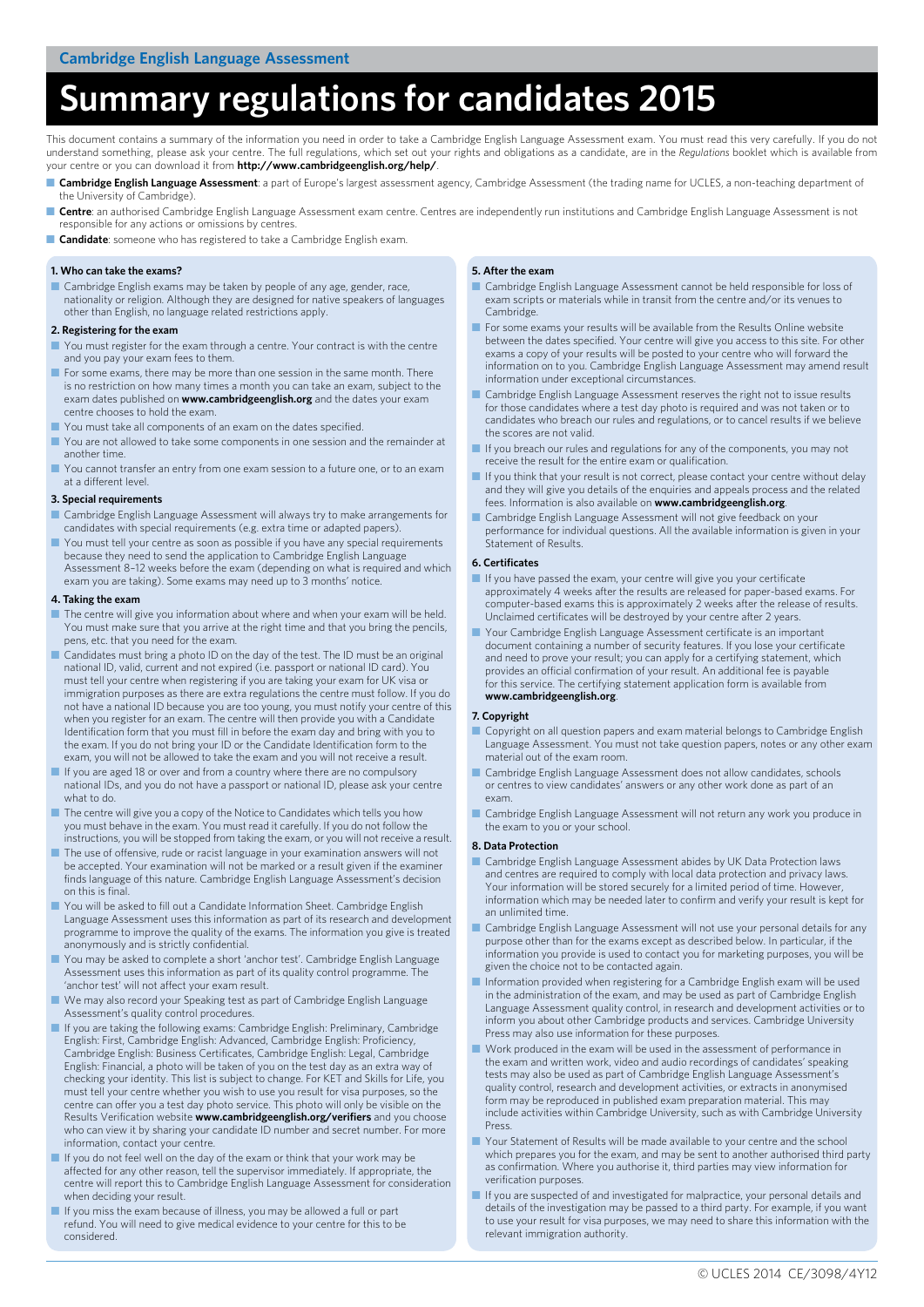# **Summary regulations for candidates 2015**

This document contains a summary of the information you need in order to take a Cambridge English Language Assessment exam. You must read this very carefully. If you do not understand something, please ask your centre. The full regulations, which set out your rights and obligations as a candidate, are in the *Regulations* booklet which is available from your centre or you can download it from **<http://www.cambridgeenglish.org/help/>**.

- Cambridge English Language Assessment: a part of Europe's largest assessment agency, Cambridge Assessment (the trading name for UCLES, a non-teaching department of the University of Cambridge).
- Centre: an authorised Cambridge English Language Assessment exam centre. Centres are independently run institutions and Cambridge English Language Assessment is not responsible for any actions or omissions by centres.
- **Candidate**: someone who has registered to take a Cambridge English exam.

## **1. Who can take the exams?**

Cambridge English exams may be taken by people of any age, gender, race, nationality or religion. Although they are designed for native speakers of languages other than English, no language related restrictions apply.

#### **2. Registering for the exam**

- You must register for the exam through a centre. Your contract is with the centre and you pay your exam fees to them.
- For some exams, there may be more than one session in the same month. There is no restriction on how many times a month you can take an exam, subject to the exam dates published on **[www.cambridgeenglish.org](http://www.cambridgeenglish.org)** and the dates your exam centre chooses to hold the exam.
- You must take all components of an exam on the dates specified
- You are not allowed to take some components in one session and the remainder at another time.
- You cannot transfer an entry from one exam session to a future one, or to an exam at a different level.

### **3. Special requirements**

- Cambridge English Language Assessment will always try to make arrangements for candidates with special requirements (e.g. extra time or adapted papers).
- You must tell your centre as soon as possible if you have any special requirements because they need to send the application to Cambridge English Language Assessment 8–12 weeks before the exam (depending on what is required and which exam you are taking). Some exams may need up to 3 months' notice.

### **4. Taking the exam**

- The centre will give you information about where and when your exam will be held. You must make sure that you arrive at the right time and that you bring the pencils, pens, etc. that you need for the exam.
- Candidates must bring a photo ID on the day of the test. The ID must be an original national ID, valid, current and not expired (i.e. passport or national ID card). You must tell your centre when registering if you are taking your exam for UK visa or immigration purposes as there are extra regulations the centre must follow. If you do not have a national ID because you are too young, you must notify your centre of this when you register for an exam. The centre will then provide you with a Candidate Identification form that you must fill in before the exam day and bring with you to the exam. If you do not bring your ID or the Candidate Identification form to the exam, you will not be allowed to take the exam and you will not receive a result.
- If you are aged 18 or over and from a country where there are no compulsory national IDs, and you do not have a passport or national ID, please ask your centre what to do.
- The centre will give you a copy of the Notice to Candidates which tells you how you must behave in the exam. You must read it carefully. If you do not follow the instructions, you will be stopped from taking the exam, or you will not receive a result.
- The use of offensive, rude or racist language in your examination answers will not be accepted. Your examination will not be marked or a result given if the examiner finds language of this nature. Cambridge English Language Assessment's decision on this is final.
- You will be asked to fill out a Candidate Information Sheet. Cambridge English Language Assessment uses this information as part of its research and development programme to improve the quality of the exams. The information you give is treated anonymously and is strictly confidential.
- You may be asked to complete a short 'anchor test'. Cambridge English Language Assessment uses this information as part of its quality control programme. The 'anchor test' will not affect your exam result.
- We may also record your Speaking test as part of Cambridge English Language Assessment's quality control procedures.
- If you are taking the following exams: Cambridge English: Preliminary, Cambridge English: First, Cambridge English: Advanced, Cambridge English: Proficiency, Cambridge English: Business Certificates, Cambridge English: Legal, Cambridge English: Financial, a photo will be taken of you on the test day as an extra way of checking your identity. This list is subject to change. For KET and Skills for Life, you must tell your centre whether you wish to use you result for visa purposes, so the centre can offer you a test day photo service. This photo will only be visible on the Results Verification website **[www.cambridgeenglish.org/verifiers](http://www.cambridgeenglish.org/verifiers)** and you choose who can view it by sharing your candidate ID number and secret number. For more information, contact your centre.
- If you do not feel well on the day of the exam or think that your work may be affected for any other reason, tell the supervisor immediately. If appropriate, the centre will report this to Cambridge English Language Assessment for consideration when deciding your result.
- If you miss the exam because of illness, you may be allowed a full or part refund. You will need to give medical evidence to your centre for this to be considered.

## **5. After the exam**

- Cambridge English Language Assessment cannot be held responsible for loss of exam scripts or materials while in transit from the centre and/or its venues to **Cambridge**
- For some exams your results will be available from the Results Online website between the dates specified. Your centre will give you access to this site. For other exams a copy of your results will be posted to your centre who will forward the information on to you. Cambridge English Language Assessment may amend result information under exceptional circumstances.
- Cambridge English Language Assessment reserves the right not to issue results for those candidates where a test day photo is required and was not taken or to candidates who breach our rules and regulations, or to cancel results if we believe the scores are not valid.
- If you breach our rules and regulations for any of the components, you may not receive the result for the entire exam or qualification.
- If you think that your result is not correct, please contact your centre without delay and they will give you details of the enquiries and appeals process and the related fees. Information is also available on **[www.cambridgeenglish.org](http://www.cambridgeenglish.org)**.
- Cambridge English Language Assessment will not give feedback on your performance for individual questions. All the available information is given in your Statement of Results.

### **6. Certificates**

- If you have passed the exam, your centre will give you your certificate approximately 4 weeks after the results are released for paper-based exams. For computer-based exams this is approximately 2 weeks after the release of results. Unclaimed certificates will be destroyed by your centre after 2 years.
- Your Cambridge English Language Assessment certificate is an important document containing a number of security features. If you lose your certificate and need to prove your result; you can apply for a certifying statement, which provides an official confirmation of your result. An additional fee is payable for this service. The certifying statement application form is available from **[www.cambridgeenglish.org](http://www.cambridgeenglish.org)**.

### **7. Copyright**

- Copyright on all question papers and exam material belongs to Cambridge English Language Assessment. You must not take question papers, notes or any other exam material out of the exam room.
- Cambridge English Language Assessment does not allow candidates, schools or centres to view candidates' answers or any other work done as part of an exam.
- Cambridge English Language Assessment will not return any work you produce in the exam to you or your school.

### **8. Data Protection**

- Cambridge English Language Assessment abides by UK Data Protection laws and centres are required to comply with local data protection and privacy laws. Your information will be stored securely for a limited period of time. However, information which may be needed later to confirm and verify your result is kept for an unlimited time.
- Cambridge English Language Assessment will not use your personal details for any purpose other than for the exams except as described below. In particular, if the information you provide is used to contact you for marketing purposes, you will be given the choice not to be contacted again.
- Information provided when registering for a Cambridge English exam will be used in the administration of the exam, and may be used as part of Cambridge English Language Assessment quality control, in research and development activities or to inform you about other Cambridge products and services. Cambridge University Press may also use information for these purposes.
- Work produced in the exam will be used in the assessment of performance in the exam and written work, video and audio recordings of candidates' speaking tests may also be used as part of Cambridge English Language Assessment's quality control, research and development activities, or extracts in anonymised form may be reproduced in published exam preparation material. This may include activities within Cambridge University, such as with Cambridge University Press.
- Your Statement of Results will be made available to your centre and the school which prepares you for the exam, and may be sent to another authorised third party as confirmation. Where you authorise it, third parties may view information for verification purposes.
- If you are suspected of and investigated for malpractice, your personal details and details of the investigation may be passed to a third party. For example, if you want to use your result for visa purposes, we may need to share this information with the relevant immigration authority.